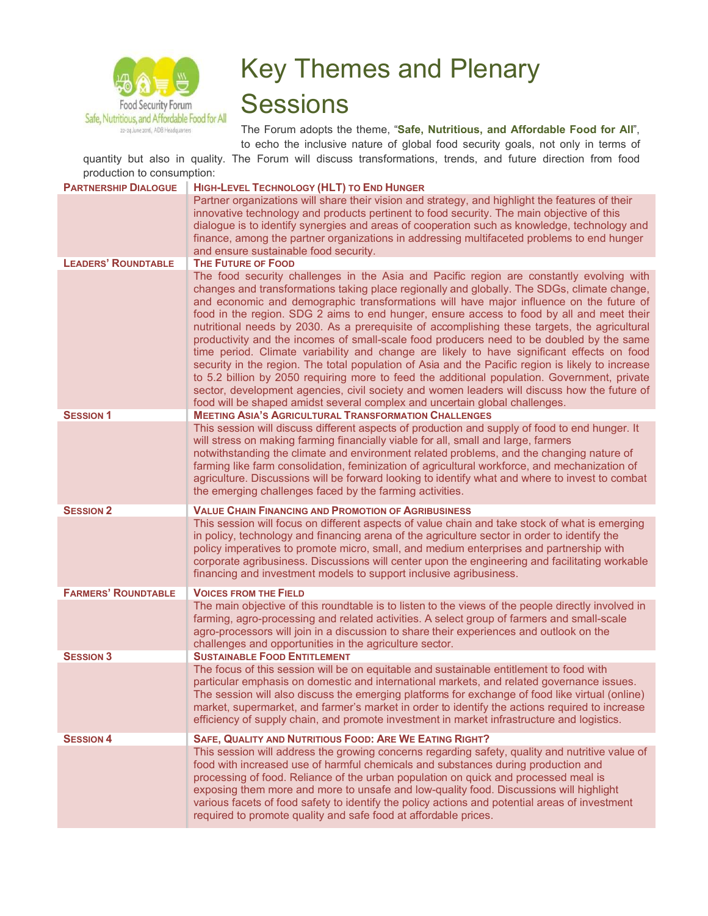

## Key Themes and Plenary **Sessions**

The Forum adopts the theme, "**Safe, Nutritious, and Affordable Food for All**", to echo the inclusive nature of global food security goals, not only in terms of

quantity but also in quality. The Forum will discuss transformations, trends, and future direction from food production to consumption:

| <b>PARTNERSHIP DIALOGUE</b> | HIGH-LEVEL TECHNOLOGY (HLT) TO END HUNGER                                                                                                                                                                                                                                                                                                                                                                                                                                                                                                                                                                                                                                                                                                                                                                                                                                                                                                                                                                                                                                                                                       |
|-----------------------------|---------------------------------------------------------------------------------------------------------------------------------------------------------------------------------------------------------------------------------------------------------------------------------------------------------------------------------------------------------------------------------------------------------------------------------------------------------------------------------------------------------------------------------------------------------------------------------------------------------------------------------------------------------------------------------------------------------------------------------------------------------------------------------------------------------------------------------------------------------------------------------------------------------------------------------------------------------------------------------------------------------------------------------------------------------------------------------------------------------------------------------|
|                             | Partner organizations will share their vision and strategy, and highlight the features of their<br>innovative technology and products pertinent to food security. The main objective of this<br>dialogue is to identify synergies and areas of cooperation such as knowledge, technology and<br>finance, among the partner organizations in addressing multifaceted problems to end hunger<br>and ensure sustainable food security.                                                                                                                                                                                                                                                                                                                                                                                                                                                                                                                                                                                                                                                                                             |
| <b>LEADERS' ROUNDTABLE</b>  | THE FUTURE OF FOOD                                                                                                                                                                                                                                                                                                                                                                                                                                                                                                                                                                                                                                                                                                                                                                                                                                                                                                                                                                                                                                                                                                              |
| <b>SESSION 1</b>            | The food security challenges in the Asia and Pacific region are constantly evolving with<br>changes and transformations taking place regionally and globally. The SDGs, climate change,<br>and economic and demographic transformations will have major influence on the future of<br>food in the region. SDG 2 aims to end hunger, ensure access to food by all and meet their<br>nutritional needs by 2030. As a prerequisite of accomplishing these targets, the agricultural<br>productivity and the incomes of small-scale food producers need to be doubled by the same<br>time period. Climate variability and change are likely to have significant effects on food<br>security in the region. The total population of Asia and the Pacific region is likely to increase<br>to 5.2 billion by 2050 requiring more to feed the additional population. Government, private<br>sector, development agencies, civil society and women leaders will discuss how the future of<br>food will be shaped amidst several complex and uncertain global challenges.<br><b>MEETING ASIA'S AGRICULTURAL TRANSFORMATION CHALLENGES</b> |
|                             | This session will discuss different aspects of production and supply of food to end hunger. It<br>will stress on making farming financially viable for all, small and large, farmers<br>notwithstanding the climate and environment related problems, and the changing nature of<br>farming like farm consolidation, feminization of agricultural workforce, and mechanization of<br>agriculture. Discussions will be forward looking to identify what and where to invest to combat<br>the emerging challenges faced by the farming activities.                                                                                                                                                                                                                                                                                                                                                                                                                                                                                                                                                                                |
| <b>SESSION 2</b>            | <b>VALUE CHAIN FINANCING AND PROMOTION OF AGRIBUSINESS</b>                                                                                                                                                                                                                                                                                                                                                                                                                                                                                                                                                                                                                                                                                                                                                                                                                                                                                                                                                                                                                                                                      |
|                             | This session will focus on different aspects of value chain and take stock of what is emerging<br>in policy, technology and financing arena of the agriculture sector in order to identify the<br>policy imperatives to promote micro, small, and medium enterprises and partnership with<br>corporate agribusiness. Discussions will center upon the engineering and facilitating workable<br>financing and investment models to support inclusive agribusiness.                                                                                                                                                                                                                                                                                                                                                                                                                                                                                                                                                                                                                                                               |
| <b>FARMERS' ROUNDTABLE</b>  | <b>VOICES FROM THE FIELD</b>                                                                                                                                                                                                                                                                                                                                                                                                                                                                                                                                                                                                                                                                                                                                                                                                                                                                                                                                                                                                                                                                                                    |
|                             | The main objective of this roundtable is to listen to the views of the people directly involved in<br>farming, agro-processing and related activities. A select group of farmers and small-scale<br>agro-processors will join in a discussion to share their experiences and outlook on the<br>challenges and opportunities in the agriculture sector.                                                                                                                                                                                                                                                                                                                                                                                                                                                                                                                                                                                                                                                                                                                                                                          |
| <b>SESSION 3</b>            | <b>SUSTAINABLE FOOD ENTITLEMENT</b>                                                                                                                                                                                                                                                                                                                                                                                                                                                                                                                                                                                                                                                                                                                                                                                                                                                                                                                                                                                                                                                                                             |
|                             | The focus of this session will be on equitable and sustainable entitlement to food with<br>particular emphasis on domestic and international markets, and related governance issues.<br>The session will also discuss the emerging platforms for exchange of food like virtual (online)<br>market, supermarket, and farmer's market in order to identify the actions required to increase<br>efficiency of supply chain, and promote investment in market infrastructure and logistics.                                                                                                                                                                                                                                                                                                                                                                                                                                                                                                                                                                                                                                         |
| <b>SESSION 4</b>            | SAFE, QUALITY AND NUTRITIOUS FOOD: ARE WE EATING RIGHT?                                                                                                                                                                                                                                                                                                                                                                                                                                                                                                                                                                                                                                                                                                                                                                                                                                                                                                                                                                                                                                                                         |
|                             | This session will address the growing concerns regarding safety, quality and nutritive value of<br>food with increased use of harmful chemicals and substances during production and<br>processing of food. Reliance of the urban population on quick and processed meal is<br>exposing them more and more to unsafe and low-quality food. Discussions will highlight<br>various facets of food safety to identify the policy actions and potential areas of investment<br>required to promote quality and safe food at affordable prices.                                                                                                                                                                                                                                                                                                                                                                                                                                                                                                                                                                                      |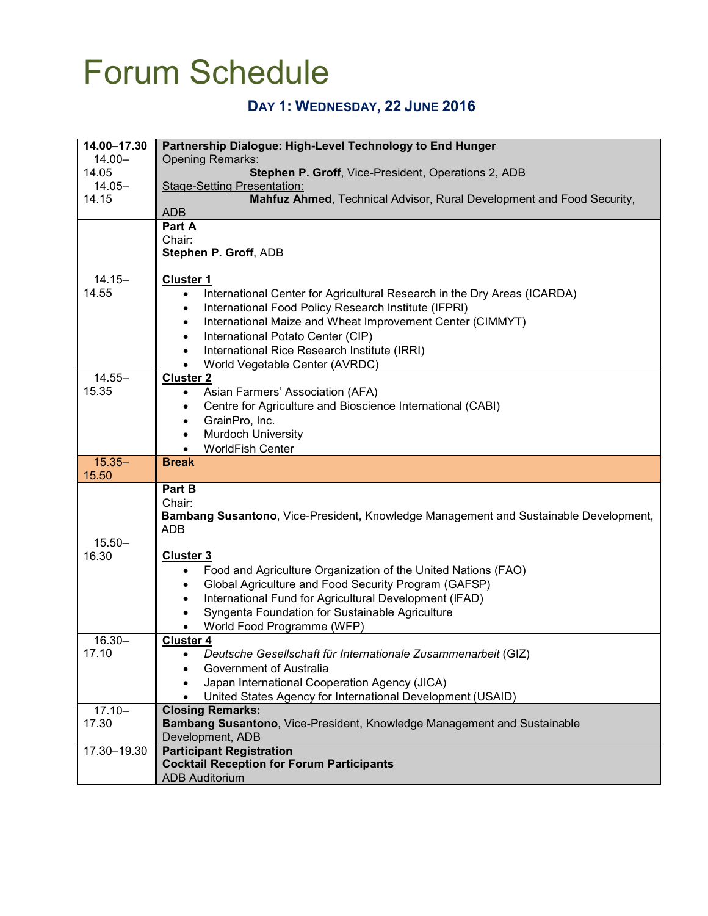# Forum Schedule

### **DAY 1: WEDNESDAY, 22 JUNE 2016**

| 14.00-17.30 | Partnership Dialogue: High-Level Technology to End Hunger                             |
|-------------|---------------------------------------------------------------------------------------|
| $14.00 -$   | Opening Remarks:                                                                      |
| 14.05       | Stephen P. Groff, Vice-President, Operations 2, ADB                                   |
| $14.05 -$   | <b>Stage-Setting Presentation:</b>                                                    |
| 14.15       | Mahfuz Ahmed, Technical Advisor, Rural Development and Food Security,                 |
|             | <b>ADB</b>                                                                            |
|             | Part A                                                                                |
|             | Chair:                                                                                |
|             | Stephen P. Groff, ADB                                                                 |
|             |                                                                                       |
| $14.15 -$   | <b>Cluster 1</b>                                                                      |
|             |                                                                                       |
| 14.55       | International Center for Agricultural Research in the Dry Areas (ICARDA)<br>$\bullet$ |
|             | International Food Policy Research Institute (IFPRI)<br>$\bullet$                     |
|             | International Maize and Wheat Improvement Center (CIMMYT)<br>$\bullet$                |
|             | International Potato Center (CIP)<br>$\bullet$                                        |
|             | International Rice Research Institute (IRRI)<br>$\bullet$                             |
|             |                                                                                       |
|             | World Vegetable Center (AVRDC)<br>$\bullet$                                           |
| $14.55 -$   | <b>Cluster 2</b>                                                                      |
| 15.35       | Asian Farmers' Association (AFA)<br>$\bullet$                                         |
|             | Centre for Agriculture and Bioscience International (CABI)<br>$\bullet$               |
|             | GrainPro, Inc.<br>$\bullet$                                                           |
|             | Murdoch University<br>$\bullet$                                                       |
|             | <b>WorldFish Center</b><br>$\bullet$                                                  |
|             |                                                                                       |
|             |                                                                                       |
| $15.35 -$   | <b>Break</b>                                                                          |
| 15.50       |                                                                                       |
|             | Part B                                                                                |
|             | Chair:                                                                                |
|             | Bambang Susantono, Vice-President, Knowledge Management and Sustainable Development,  |
|             | <b>ADB</b>                                                                            |
| $15.50 -$   |                                                                                       |
| 16.30       | <b>Cluster 3</b>                                                                      |
|             | Food and Agriculture Organization of the United Nations (FAO)<br>$\bullet$            |
|             | $\bullet$                                                                             |
|             | Global Agriculture and Food Security Program (GAFSP)                                  |
|             | International Fund for Agricultural Development (IFAD)<br>$\bullet$                   |
|             | Syngenta Foundation for Sustainable Agriculture                                       |
|             | World Food Programme (WFP)                                                            |
| $16.30 -$   | <b>Cluster 4</b>                                                                      |
| 17.10       | Deutsche Gesellschaft für Internationale Zusammenarbeit (GIZ)                         |
|             | Government of Australia                                                               |
|             |                                                                                       |
|             | Japan International Cooperation Agency (JICA)                                         |
|             | United States Agency for International Development (USAID)                            |
| $17.10 -$   | <b>Closing Remarks:</b>                                                               |
| 17.30       | Bambang Susantono, Vice-President, Knowledge Management and Sustainable               |
|             | Development, ADB                                                                      |
| 17.30-19.30 | <b>Participant Registration</b>                                                       |
|             | <b>Cocktail Reception for Forum Participants</b><br><b>ADB Auditorium</b>             |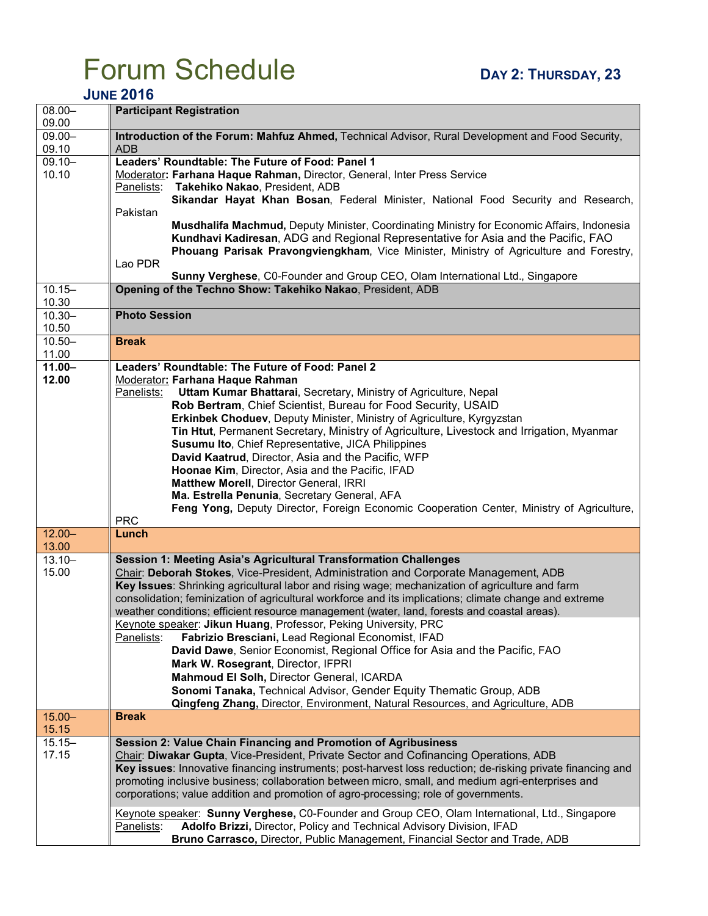# $\frac{1}{2}$  **POPUM**  $\frac{1}{2}$  **DAY 2: THURSDAY**, 23

#### **JUNE 2016**

| $08.00 -$<br>09.00 | <b>Participant Registration</b>                                                                                                                                                                                                                                                                                                                                                                                                                                                                                                                                                                                                                                                                                                                                                    |
|--------------------|------------------------------------------------------------------------------------------------------------------------------------------------------------------------------------------------------------------------------------------------------------------------------------------------------------------------------------------------------------------------------------------------------------------------------------------------------------------------------------------------------------------------------------------------------------------------------------------------------------------------------------------------------------------------------------------------------------------------------------------------------------------------------------|
| $09.00 -$<br>09.10 | Introduction of the Forum: Mahfuz Ahmed, Technical Advisor, Rural Development and Food Security,<br><b>ADB</b>                                                                                                                                                                                                                                                                                                                                                                                                                                                                                                                                                                                                                                                                     |
| $09.10 -$<br>10.10 | Leaders' Roundtable: The Future of Food: Panel 1<br>Moderator: Farhana Haque Rahman, Director, General, Inter Press Service<br>Panelists: Takehiko Nakao, President, ADB<br>Sikandar Hayat Khan Bosan, Federal Minister, National Food Security and Research,                                                                                                                                                                                                                                                                                                                                                                                                                                                                                                                      |
|                    | Pakistan<br>Musdhalifa Machmud, Deputy Minister, Coordinating Ministry for Economic Affairs, Indonesia<br>Kundhavi Kadiresan, ADG and Regional Representative for Asia and the Pacific, FAO<br>Phouang Parisak Pravongviengkham, Vice Minister, Ministry of Agriculture and Forestry,<br>Lao PDR                                                                                                                                                                                                                                                                                                                                                                                                                                                                                   |
| $10.15 -$<br>10.30 | Sunny Verghese, C0-Founder and Group CEO, Olam International Ltd., Singapore<br>Opening of the Techno Show: Takehiko Nakao, President, ADB                                                                                                                                                                                                                                                                                                                                                                                                                                                                                                                                                                                                                                         |
| $10.30 -$<br>10.50 | <b>Photo Session</b>                                                                                                                                                                                                                                                                                                                                                                                                                                                                                                                                                                                                                                                                                                                                                               |
| $10.50 -$<br>11.00 | <b>Break</b>                                                                                                                                                                                                                                                                                                                                                                                                                                                                                                                                                                                                                                                                                                                                                                       |
| $11.00 -$<br>12.00 | Leaders' Roundtable: The Future of Food: Panel 2<br>Moderator: Farhana Haque Rahman<br>Panelists:<br>Uttam Kumar Bhattarai, Secretary, Ministry of Agriculture, Nepal<br>Rob Bertram, Chief Scientist, Bureau for Food Security, USAID<br>Erkinbek Choduev, Deputy Minister, Ministry of Agriculture, Kyrgyzstan<br>Tin Htut, Permanent Secretary, Ministry of Agriculture, Livestock and Irrigation, Myanmar<br>Susumu Ito, Chief Representative, JICA Philippines<br>David Kaatrud, Director, Asia and the Pacific, WFP<br>Hoonae Kim, Director, Asia and the Pacific, IFAD<br>Matthew Morell, Director General, IRRI<br>Ma. Estrella Penunia, Secretary General, AFA<br>Feng Yong, Deputy Director, Foreign Economic Cooperation Center, Ministry of Agriculture,<br><b>PRC</b> |
| $12.00 -$<br>13.00 | Lunch                                                                                                                                                                                                                                                                                                                                                                                                                                                                                                                                                                                                                                                                                                                                                                              |
| $13.10 -$<br>15.00 | Session 1: Meeting Asia's Agricultural Transformation Challenges<br>Chair: Deborah Stokes, Vice-President, Administration and Corporate Management, ADB<br>Key Issues: Shrinking agricultural labor and rising wage; mechanization of agriculture and farm<br>consolidation; feminization of agricultural workforce and its implications; climate change and extreme<br>weather conditions; efficient resource management (water, land, forests and coastal areas).<br>Keynote speaker: Jikun Huang, Professor, Peking University, PRC<br>Fabrizio Bresciani, Lead Regional Economist, IFAD<br>Panelists:<br>David Dawe, Senior Economist, Regional Office for Asia and the Pacific, FAO<br>Mark W. Rosegrant, Director, IFPRI                                                     |
|                    | Mahmoud El Solh, Director General, ICARDA<br>Sonomi Tanaka, Technical Advisor, Gender Equity Thematic Group, ADB<br>Qingfeng Zhang, Director, Environment, Natural Resources, and Agriculture, ADB                                                                                                                                                                                                                                                                                                                                                                                                                                                                                                                                                                                 |
| $15.00 -$<br>15.15 | <b>Break</b>                                                                                                                                                                                                                                                                                                                                                                                                                                                                                                                                                                                                                                                                                                                                                                       |
| $15.15 -$<br>17.15 | Session 2: Value Chain Financing and Promotion of Agribusiness<br>Chair: Diwakar Gupta, Vice-President, Private Sector and Cofinancing Operations, ADB<br>Key issues: Innovative financing instruments; post-harvest loss reduction; de-risking private financing and<br>promoting inclusive business; collaboration between micro, small, and medium agri-enterprises and<br>corporations; value addition and promotion of agro-processing; role of governments.                                                                                                                                                                                                                                                                                                                  |
|                    | Keynote speaker: Sunny Verghese, C0-Founder and Group CEO, Olam International, Ltd., Singapore<br>Panelists:<br>Adolfo Brizzi, Director, Policy and Technical Advisory Division, IFAD<br>Bruno Carrasco, Director, Public Management, Financial Sector and Trade, ADB                                                                                                                                                                                                                                                                                                                                                                                                                                                                                                              |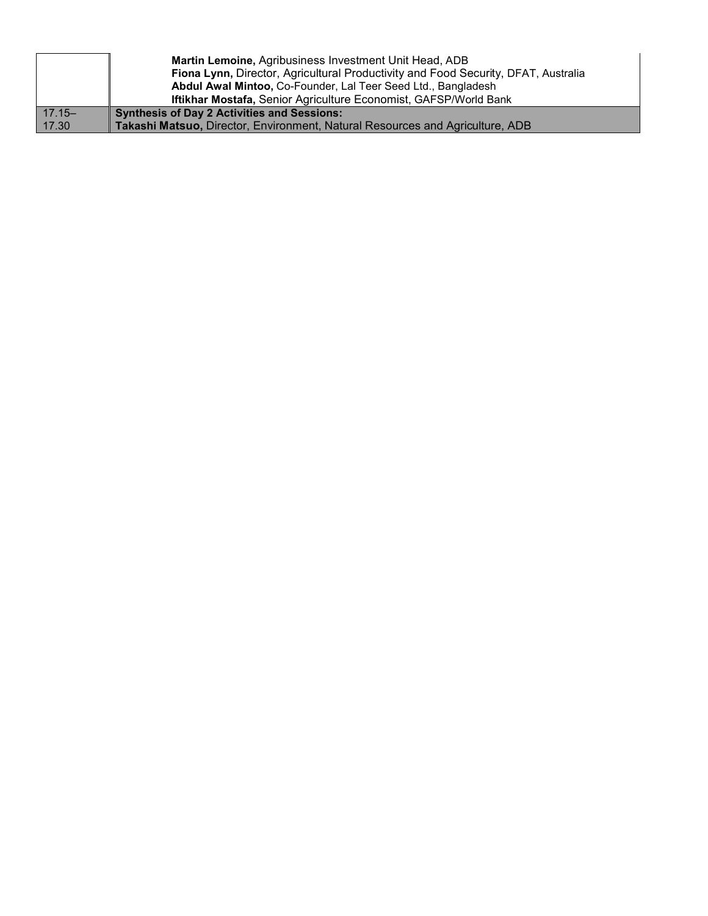|           | <b>Martin Lemoine, Agribusiness Investment Unit Head, ADB</b>                      |
|-----------|------------------------------------------------------------------------------------|
|           | Fiona Lynn, Director, Agricultural Productivity and Food Security, DFAT, Australia |
|           | Abdul Awal Mintoo, Co-Founder, Lal Teer Seed Ltd., Bangladesh                      |
|           | Iftikhar Mostafa, Senior Agriculture Economist, GAFSP/World Bank                   |
| $17.15 -$ | <b>Synthesis of Day 2 Activities and Sessions:</b>                                 |
| 17.30     | Takashi Matsuo, Director, Environment, Natural Resources and Agriculture, ADB      |